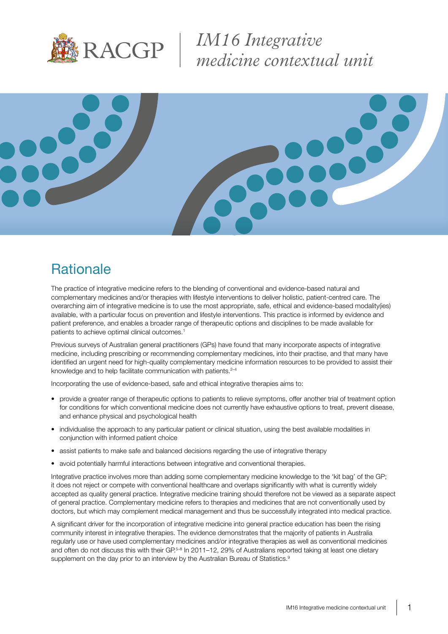

*IM16 Integrative medicine contextual unit*



## **Rationale**

The practice of integrative medicine refers to the blending of conventional and evidence-based natural and complementary medicines and/or therapies with lifestyle interventions to deliver holistic, patient-centred care. The overarching aim of integrative medicine is to use the most appropriate, safe, ethical and evidence-based modality(ies) available, with a particular focus on prevention and lifestyle interventions. This practice is informed by evidence and patient preference, and enables a broader range of therapeutic options and disciplines to be made available for patients to achieve optimal clinical outcomes.<sup>1</sup>

Previous surveys of Australian general practitioners (GPs) have found that many incorporate aspects of integrative medicine, including prescribing or recommending complementary medicines, into their practise, and that many have identified an urgent need for high-quality complementary medicine information resources to be provided to assist their knowledge and to help facilitate communication with patients.<sup>2-4</sup>

Incorporating the use of evidence-based, safe and ethical integrative therapies aims to:

- provide a greater range of therapeutic options to patients to relieve symptoms, offer another trial of treatment option for conditions for which conventional medicine does not currently have exhaustive options to treat, prevent disease, and enhance physical and psychological health
- individualise the approach to any particular patient or clinical situation, using the best available modalities in conjunction with informed patient choice
- assist patients to make safe and balanced decisions regarding the use of integrative therapy
- avoid potentially harmful interactions between integrative and conventional therapies.

Integrative practice involves more than adding some complementary medicine knowledge to the 'kit bag' of the GP; it does not reject or compete with conventional healthcare and overlaps significantly with what is currently widely accepted as quality general practice. Integrative medicine training should therefore not be viewed as a separate aspect of general practice. Complementary medicine refers to therapies and medicines that are not conventionally used by doctors, but which may complement medical management and thus be successfully integrated into medical practice.

A significant driver for the incorporation of integrative medicine into general practice education has been the rising community interest in integrative therapies. The evidence demonstrates that the majority of patients in Australia regularly use or have used complementary medicines and/or integrative therapies as well as conventional medicines and often do not discuss this with their GP.<sup>5–8</sup> In 2011–12, 29% of Australians reported taking at least one dietary supplement on the day prior to an interview by the Australian Bureau of Statistics.<sup>9</sup>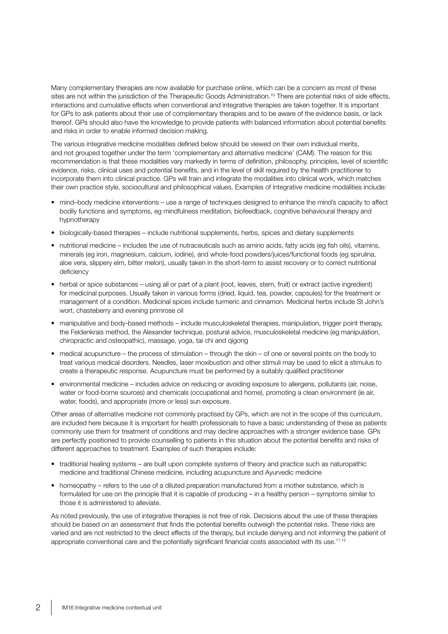Many complementary therapies are now available for purchase online, which can be a concern as most of these sites are not within the jurisdiction of the Therapeutic Goods Administration.<sup>10</sup> There are potential risks of side effects, interactions and cumulative effects when conventional and integrative therapies are taken together. It is important for GPs to ask patients about their use of complementary therapies and to be aware of the evidence basis, or lack thereof. GPs should also have the knowledge to provide patients with balanced information about potential benefits and risks in order to enable informed decision making.

The various integrative medicine modalities defined below should be viewed on their own individual merits, and not grouped together under the term 'complementary and alternative medicine' (CAM). The reason for this recommendation is that these modalities vary markedly in terms of definition, philosophy, principles, level of scientific evidence, risks, clinical uses and potential benefits, and in the level of skill required by the health practitioner to incorporate them into clinical practice. GPs will train and integrate the modalities into clinical work, which matches their own practice style, sociocultural and philosophical values. Examples of integrative medicine modalities include:

- mind–body medicine interventions use a range of techniques designed to enhance the mind's capacity to affect bodily functions and symptoms, eg mindfulness meditation, biofeedback, cognitive behavioural therapy and hypnotherapy
- biologically-based therapies include nutritional supplements, herbs, spices and dietary supplements
- $\bullet$  nutritional medicine includes the use of nutraceuticals such as amino acids, fatty acids (eg fish oils), vitamins, minerals (eg iron, magnesium, calcium, iodine), and whole-food powders/juices/functional foods (eg spirulina, aloe vera, slippery elm, bitter melon), usually taken in the short-term to assist recovery or to correct nutritional deficiency
- herbal or spice substances using all or part of a plant (root, leaves, stem, fruit) or extract (active ingredient) for medicinal purposes. Usually taken in various forms (dried, liquid, tea, powder, capsules) for the treatment or management of a condition. Medicinal spices include turmeric and cinnamon. Medicinal herbs include St John's wort, chasteberry and evening primrose oil
- manipulative and body-based methods include musculoskeletal therapies, manipulation, trigger point therapy, the Feldenkrais method, the Alexander technique, postural advice, musculoskeletal medicine (eg manipulation, chiropractic and osteopathic), massage, yoga, tai chi and qigong
- medical acupuncture the process of stimulation through the skin of one or several points on the body to treat various medical disorders. Needles, laser moxibustion and other stimuli may be used to elicit a stimulus to create a therapeutic response. Acupuncture must be performed by a suitably qualified practitioner
- environmental medicine includes advice on reducing or avoiding exposure to allergens, pollutants (air, noise, water or food-borne sources) and chemicals (occupational and home), promoting a clean environment (ie air, water, foods), and appropriate (more or less) sun exposure.

Other areas of alternative medicine not commonly practised by GPs, which are not in the scope of this curriculum, are included here because it is important for health professionals to have a basic understanding of these as patients commonly use them for treatment of conditions and may decline approaches with a stronger evidence base. GPs are perfectly positioned to provide counselling to patients in this situation about the potential benefits and risks of different approaches to treatment. Examples of such therapies include:

- traditional healing systems are built upon complete systems of theory and practice such as naturopathic medicine and traditional Chinese medicine, including acupuncture and Ayurvedic medicine
- homeopathy refers to the use of a diluted preparation manufactured from a mother substance, which is formulated for use on the principle that it is capable of producing – in a healthy person – symptoms similar to those it is administered to alleviate.

As noted previously, the use of integrative therapies is not free of risk. Decisions about the use of these therapies should be based on an assessment that finds the potential benefits outweigh the potential risks. These risks are varied and are not restricted to the direct effects of the therapy, but include denying and not informing the patient of appropriate conventional care and the potentially significant financial costs associated with its use.<sup>11,12</sup>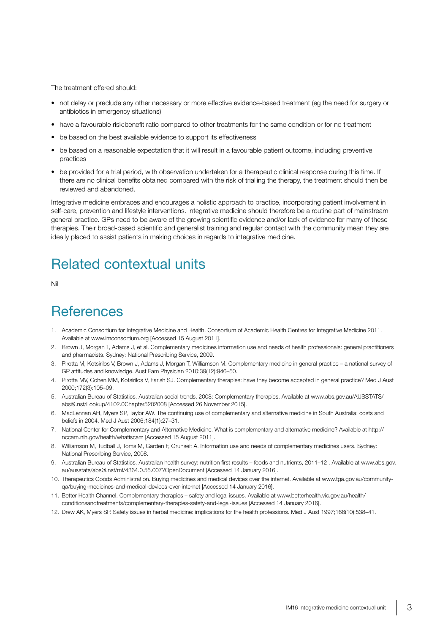The treatment offered should:

- not delay or preclude any other necessary or more effective evidence-based treatment (eg the need for surgery or antibiotics in emergency situations)
- have a favourable risk:benefit ratio compared to other treatments for the same condition or for no treatment
- be based on the best available evidence to support its effectiveness
- be based on a reasonable expectation that it will result in a favourable patient outcome, including preventive practices
- be provided for a trial period, with observation undertaken for a therapeutic clinical response during this time. If there are no clinical benefits obtained compared with the risk of trialling the therapy, the treatment should then be reviewed and abandoned.

Integrative medicine embraces and encourages a holistic approach to practice, incorporating patient involvement in self-care, prevention and lifestyle interventions. Integrative medicine should therefore be a routine part of mainstream general practice. GPs need to be aware of the growing scientific evidence and/or lack of evidence for many of these therapies. Their broad-based scientific and generalist training and regular contact with the community mean they are ideally placed to assist patients in making choices in regards to integrative medicine.

# Related contextual units

Nil

#### **References**

- 1. Academic Consortium for Integrative Medicine and Health. Consortium of Academic Health Centres for Integrative Medicine 2011. Available at www.imconsortium.org [Accessed 15 August 2011].
- 2. Brown J, Morgan T, Adams J, et al. Complementary medicines information use and needs of health professionals: general practitioners and pharmacists. Sydney: National Prescribing Service, 2009.
- 3. Pirotta M, Kotsirilos V, Brown J, Adams J, Morgan T, Williamson M. Complementary medicine in general practice a national survey of GP attitudes and knowledge. Aust Fam Physician 2010;39(12):946–50.
- 4. Pirotta MV, Cohen MM, Kotsirilos V, Farish SJ. Complementary therapies: have they become accepted in general practice? Med J Aust 2000;172(3):105–09.
- 5. Australian Bureau of Statistics. Australian social trends, 2008: Complementary therapies. Available at www.abs.gov.au/AUSSTATS/ abs@.nsf/Lookup/4102.0Chapter5202008 [Accessed 26 November 2015].
- 6. MacLennan AH, Myers SP, Taylor AW. The continuing use of complementary and alternative medicine in South Australia: costs and beliefs in 2004. Med J Aust 2006;184(1):27–31.
- 7. National Center for Complementary and Alternative Medicine. What is complementary and alternative medicine? Available at http:// nccam.nih.gov/health/whatiscam [Accessed 15 August 2011].
- 8. Williamson M, Tudball J, Toms M, Garden F, Grunseit A. Information use and needs of complementary medicines users. Sydney: National Prescribing Service, 2008.
- 9. Australian Bureau of Statistics. Australian health survey: nutrition first results foods and nutrients, 2011–12 . Available at www.abs.gov. au/ausstats/abs@.nsf/mf/4364.0.55.007?OpenDocument [Accessed 14 January 2016].
- 10. Therapeutics Goods Administration. Buying medicines and medical devices over the internet. Available at www.tga.gov.au/communityqa/buying-medicines-and-medical-devices-over-internet [Accessed 14 January 2016].
- 11. Better Health Channel. Complementary therapies safety and legal issues. Available at www.betterhealth.vic.gov.au/health/ conditionsandtreatments/complementary-therapies-safety-and-legal-issues [Accessed 14 January 2016].
- 12. Drew AK, Myers SP. Safety issues in herbal medicine: implications for the health professions. Med J Aust 1997;166(10):538–41.